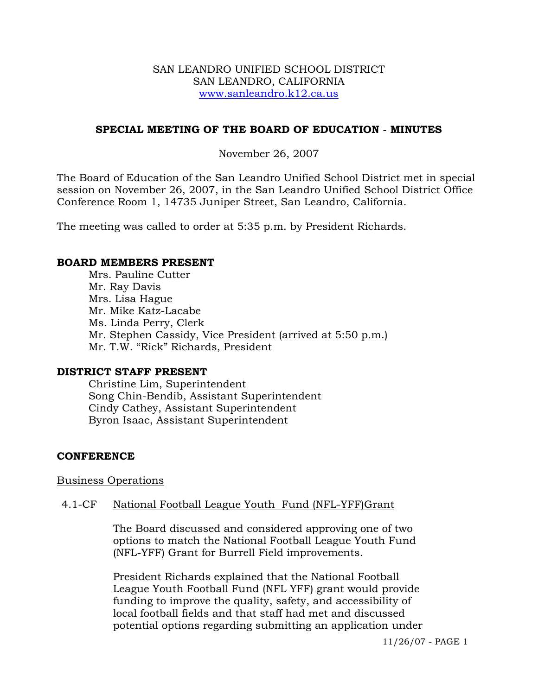### SAN LEANDRO UNIFIED SCHOOL DISTRICT SAN LEANDRO, CALIFORNIA www.sanleandro.k12.ca.us

## **SPECIAL MEETING OF THE BOARD OF EDUCATION - MINUTES**

### November 26, 2007

The Board of Education of the San Leandro Unified School District met in special session on November 26, 2007, in the San Leandro Unified School District Office Conference Room 1, 14735 Juniper Street, San Leandro, California.

The meeting was called to order at 5:35 p.m. by President Richards.

#### **BOARD MEMBERS PRESENT**

Mrs. Pauline Cutter Mr. Ray Davis Mrs. Lisa Hague Mr. Mike Katz-Lacabe Ms. Linda Perry, Clerk Mr. Stephen Cassidy, Vice President (arrived at 5:50 p.m.) Mr. T.W. "Rick" Richards, President

### **DISTRICT STAFF PRESENT**

Christine Lim, Superintendent Song Chin-Bendib, Assistant Superintendent Cindy Cathey, Assistant Superintendent Byron Isaac, Assistant Superintendent

### **CONFERENCE**

Business Operations

### 4.1-CF National Football League Youth Fund (NFL-YFF)Grant

The Board discussed and considered approving one of two options to match the National Football League Youth Fund (NFL-YFF) Grant for Burrell Field improvements.

President Richards explained that the National Football League Youth Football Fund (NFL YFF) grant would provide funding to improve the quality, safety, and accessibility of local football fields and that staff had met and discussed potential options regarding submitting an application under

11/26/07 - PAGE 1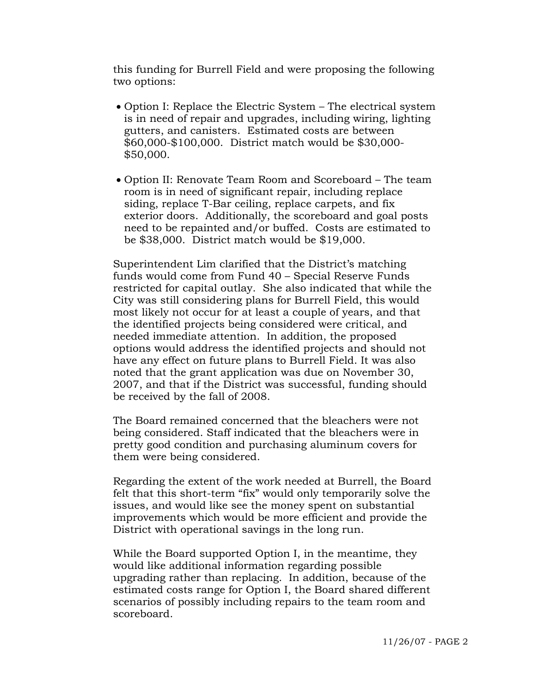this funding for Burrell Field and were proposing the following two options:

- Option I: Replace the Electric System The electrical system is in need of repair and upgrades, including wiring, lighting gutters, and canisters. Estimated costs are between \$60,000-\$100,000. District match would be \$30,000- \$50,000.
- Option II: Renovate Team Room and Scoreboard The team room is in need of significant repair, including replace siding, replace T-Bar ceiling, replace carpets, and fix exterior doors. Additionally, the scoreboard and goal posts need to be repainted and/or buffed. Costs are estimated to be \$38,000. District match would be \$19,000.

Superintendent Lim clarified that the District's matching funds would come from Fund 40 – Special Reserve Funds restricted for capital outlay. She also indicated that while the City was still considering plans for Burrell Field, this would most likely not occur for at least a couple of years, and that the identified projects being considered were critical, and needed immediate attention. In addition, the proposed options would address the identified projects and should not have any effect on future plans to Burrell Field. It was also noted that the grant application was due on November 30, 2007, and that if the District was successful, funding should be received by the fall of 2008.

The Board remained concerned that the bleachers were not being considered. Staff indicated that the bleachers were in pretty good condition and purchasing aluminum covers for them were being considered.

Regarding the extent of the work needed at Burrell, the Board felt that this short-term "fix" would only temporarily solve the issues, and would like see the money spent on substantial improvements which would be more efficient and provide the District with operational savings in the long run.

While the Board supported Option I, in the meantime, they would like additional information regarding possible upgrading rather than replacing. In addition, because of the estimated costs range for Option I, the Board shared different scenarios of possibly including repairs to the team room and scoreboard.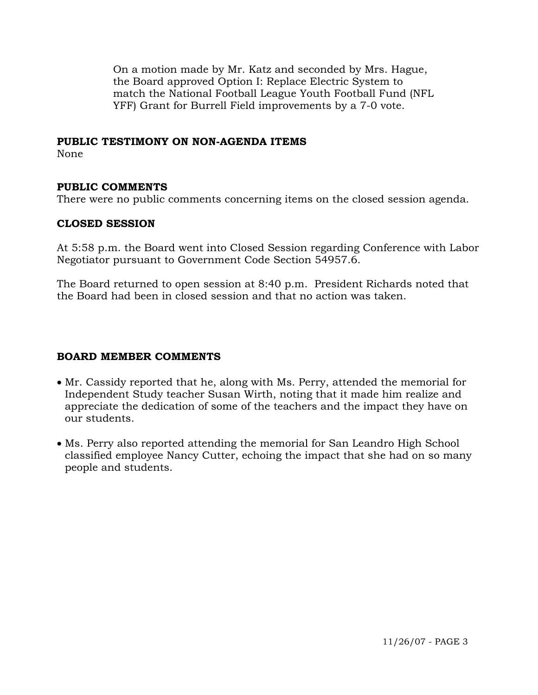On a motion made by Mr. Katz and seconded by Mrs. Hague, the Board approved Option I: Replace Electric System to match the National Football League Youth Football Fund (NFL YFF) Grant for Burrell Field improvements by a 7-0 vote.

### **PUBLIC TESTIMONY ON NON-AGENDA ITEMS**

None

### **PUBLIC COMMENTS**

There were no public comments concerning items on the closed session agenda.

### **CLOSED SESSION**

At 5:58 p.m. the Board went into Closed Session regarding Conference with Labor Negotiator pursuant to Government Code Section 54957.6.

The Board returned to open session at 8:40 p.m. President Richards noted that the Board had been in closed session and that no action was taken.

### **BOARD MEMBER COMMENTS**

- Mr. Cassidy reported that he, along with Ms. Perry, attended the memorial for Independent Study teacher Susan Wirth, noting that it made him realize and appreciate the dedication of some of the teachers and the impact they have on our students.
- Ms. Perry also reported attending the memorial for San Leandro High School classified employee Nancy Cutter, echoing the impact that she had on so many people and students.